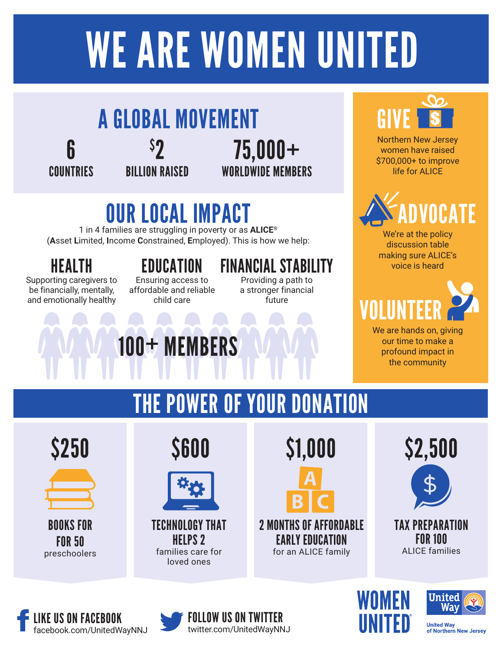# WE ARE WOMEN UNITED



## OUR LOCAL IMPACT

1 in 4 families are struggling in poverty or as **ALICE®** (**A**sset **L**imited, **I**ncome **C**onstrained, **E**mployed). This is how we help:

Supporting caregivers to be financially, mentally, and emotionally healthy

Ensuring access to affordable and reliable child care

100+ MEMBERS

### HEALTH EDUCATION FINANCIAL STABILITY

Providing a path to a stronger financial future



Northern New Jersey women have raised \$700,000+ to improve life for ALICE



We're at the policy discussion table making sure ALICE's voice is heard

# VOLUNTEER

We are hands on, giving our time to make a profound impact in the community

THE POWER OF YOUR DONATION





BOOKS FOR FOR 50 preschoolers





TECHNOLOGY THAT HELPS 2 families care for loved ones





TAX PREPARATION **FOR 100** ALICE families



FOLLOW US ON TWITTER twitter.com/UnitedWayNNJ





**United Way** of Northern New Jersey